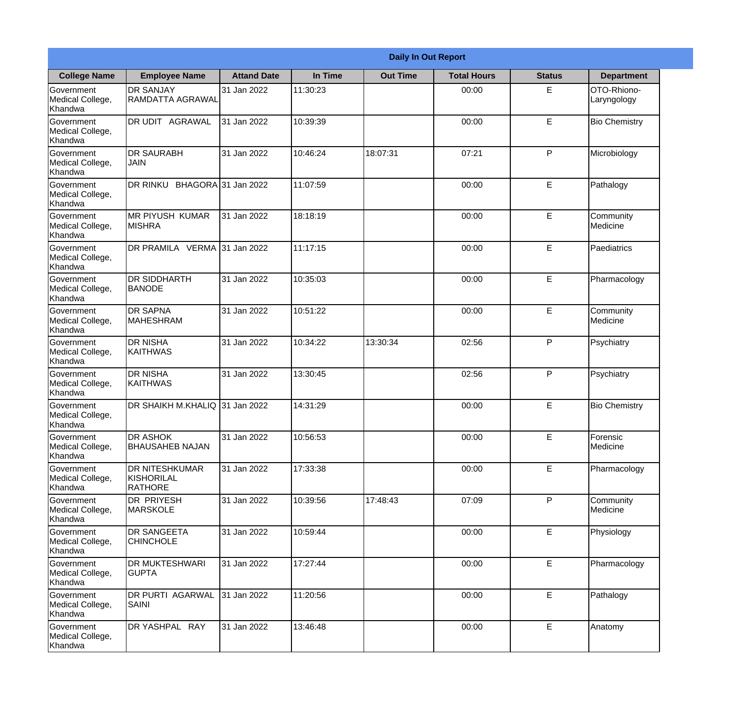|                                                  |                                                |                     | <b>Daily In Out Report</b> |                 |                    |               |                            |  |
|--------------------------------------------------|------------------------------------------------|---------------------|----------------------------|-----------------|--------------------|---------------|----------------------------|--|
| <b>College Name</b>                              | <b>Employee Name</b>                           | <b>Attand Date</b>  | In Time                    | <b>Out Time</b> | <b>Total Hours</b> | <b>Status</b> | <b>Department</b>          |  |
| Government<br>Medical College,<br>Khandwa        | <b>DR SANJAY</b><br>RAMDATTA AGRAWAL           | 31 Jan 2022         | 11:30:23                   |                 | 00:00              | E.            | OTO-Rhiono-<br>Laryngology |  |
| Government<br>Medical College,<br>Khandwa        | <b>DR UDIT AGRAWAL</b>                         | 31 Jan 2022         | 10:39:39                   |                 | 00:00              | E             | <b>Bio Chemistry</b>       |  |
| <b>Government</b><br>Medical College,<br>Khandwa | <b>DR SAURABH</b><br><b>JAIN</b>               | 31 Jan 2022         | 10:46:24                   | 18:07:31        | 07:21              | P             | Microbiology               |  |
| Government<br>Medical College,<br>Khandwa        | DR RINKU                                       | BHAGORA 31 Jan 2022 | 11:07:59                   |                 | 00:00              | E             | Pathalogy                  |  |
| Government<br>Medical College,<br>Khandwa        | <b>MR PIYUSH KUMAR</b><br><b>MISHRA</b>        | 31 Jan 2022         | 18:18:19                   |                 | 00:00              | E             | Community<br>Medicine      |  |
| Government<br>Medical College,<br>Khandwa        | DR PRAMILA VERMA 31 Jan 2022                   |                     | 11:17:15                   |                 | 00:00              | E             | Paediatrics                |  |
| Government<br>Medical College,<br>Khandwa        | <b>DR SIDDHARTH</b><br><b>BANODE</b>           | 31 Jan 2022         | 10:35:03                   |                 | 00:00              | E             | Pharmacology               |  |
| Government<br>Medical College,<br>Khandwa        | <b>DR SAPNA</b><br><b>MAHESHRAM</b>            | 31 Jan 2022         | 10:51:22                   |                 | 00:00              | E             | Community<br>Medicine      |  |
| Government<br>Medical College,<br>Khandwa        | <b>DR NISHA</b><br><b>KAITHWAS</b>             | 31 Jan 2022         | 10:34:22                   | 13:30:34        | 02:56              | P             | Psychiatry                 |  |
| Government<br>Medical College,<br>Khandwa        | <b>DR NISHA</b><br><b>KAITHWAS</b>             | 31 Jan 2022         | 13:30:45                   |                 | 02:56              | P             | Psychiatry                 |  |
| Government<br>Medical College,<br>Khandwa        | IDR SHAIKH M.KHALIQ 131 Jan 2022               |                     | 14:31:29                   |                 | 00:00              | E             | <b>Bio Chemistry</b>       |  |
| Government<br>Medical College,<br>Khandwa        | <b>DR ASHOK</b><br><b>BHAUSAHEB NAJAN</b>      | 31 Jan 2022         | 10:56:53                   |                 | 00:00              | E             | Forensic<br>Medicine       |  |
| Government<br>Medical College,<br>Khandwa        | <b>DR NITESHKUMAR</b><br>KISHORILAL<br>RATHORE | 31 Jan 2022         | 17:33:38                   |                 | 00:00              | E             | Pharmacology               |  |
| <b>Government</b><br>Medical College,<br>Khandwa | <b>DR PRIYESH</b><br><b>MARSKOLE</b>           | 31 Jan 2022         | 10:39:56                   | 17:48:43        | 07:09              | P             | Community<br>Medicine      |  |
| Government<br>Medical College,<br>Khandwa        | <b>I</b> DR SANGEETA<br><b>CHINCHOLE</b>       | 31 Jan 2022         | 10:59:44                   |                 | 00:00              | E             | Physiology                 |  |
| Government<br>Medical College,<br>Khandwa        | <b>DR MUKTESHWARI</b><br><b>GUPTA</b>          | 31 Jan 2022         | 17:27:44                   |                 | 00:00              | $\mathsf E$   | Pharmacology               |  |
| Government<br>Medical College,<br>Khandwa        | <b>DR PURTI AGARWAL</b><br><b>SAINI</b>        | 31 Jan 2022         | 11:20:56                   |                 | 00:00              | E             | Pathalogy                  |  |
| Government<br>Medical College,<br>Khandwa        | DR YASHPAL RAY                                 | 31 Jan 2022         | 13:46:48                   |                 | 00:00              | E             | Anatomy                    |  |